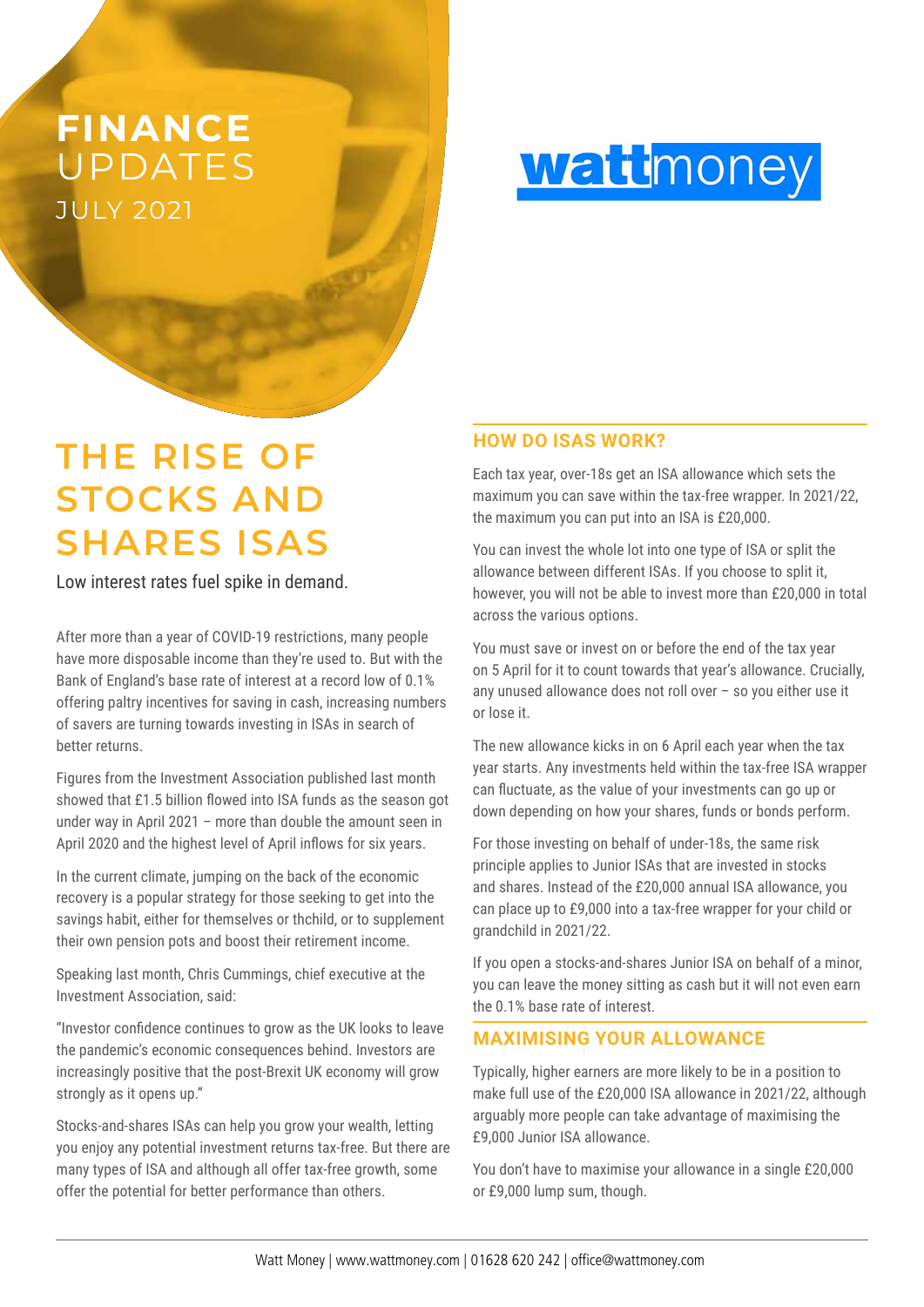## JULY 2021 **FINANCE** UPDATES

**Watt** money

# **THE RISE OF STOCKS AND SHARES ISAS**

Low interest rates fuel spike in demand.

After more than a year of COVID-19 restrictions, many people have more disposable income than they're used to. But with the Bank of England's base rate of interest at a record low of 0.1% offering paltry incentives for saving in cash, increasing numbers of savers are turning towards investing in ISAs in search of better returns.

Figures from the Investment Association published last month showed that £1.5 billion flowed into ISA funds as the season got under way in April 2021 – more than double the amount seen in April 2020 and the highest level of April inflows for six years.

In the current climate, jumping on the back of the economic recovery is a popular strategy for those seeking to get into the savings habit, either for themselves or thchild, or to supplement their own pension pots and boost their retirement income.

Speaking last month, Chris Cummings, chief executive at the Investment Association, said:

"Investor confidence continues to grow as the UK looks to leave the pandemic's economic consequences behind. Investors are increasingly positive that the post-Brexit UK economy will grow strongly as it opens up."

Stocks-and-shares ISAs can help you grow your wealth, letting you enjoy any potential investment returns tax-free. But there are many types of ISA and although all offer tax-free growth, some offer the potential for better performance than others.

### **HOW DO ISAS WORK?**

Each tax year, over-18s get an ISA allowance which sets the maximum you can save within the tax-free wrapper. In 2021/22, the maximum you can put into an ISA is £20,000.

You can invest the whole lot into one type of ISA or split the allowance between different ISAs. If you choose to split it, however, you will not be able to invest more than £20,000 in total across the various options.

You must save or invest on or before the end of the tax year on 5 April for it to count towards that year's allowance. Crucially, any unused allowance does not roll over – so you either use it or lose it.

The new allowance kicks in on 6 April each year when the tax year starts. Any investments held within the tax-free ISA wrapper can fluctuate, as the value of your investments can go up or down depending on how your shares, funds or bonds perform.

For those investing on behalf of under-18s, the same risk principle applies to Junior ISAs that are invested in stocks and shares. Instead of the £20,000 annual ISA allowance, you can place up to £9,000 into a tax-free wrapper for your child or grandchild in 2021/22.

If you open a stocks-and-shares Junior ISA on behalf of a minor, you can leave the money sitting as cash but it will not even earn the 0.1% base rate of interest.

### **MAXIMISING YOUR ALLOWANCE**

Typically, higher earners are more likely to be in a position to make full use of the £20,000 ISA allowance in 2021/22, although arguably more people can take advantage of maximising the £9,000 Junior ISA allowance.

You don't have to maximise your allowance in a single £20,000 or £9,000 lump sum, though.